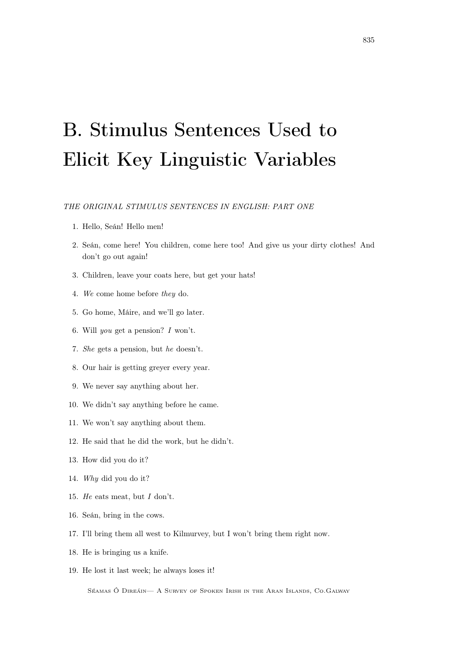# B. Stimulus Sentences Used to Elicit Key Linguistic Variables

THE ORIGINAL STIMULUS SENTENCES IN ENGLISH: PART ONE

- 1. Hello, Seán! Hello men!
- 2. Seán, come here! You children, come here too! And give us your dirty clothes! And don't go out again!
- 3. Children, leave your coats here, but get your hats!
- 4. We come home before they do.
- 5. Go home, Máire, and we'll go later.
- 6. Will you get a pension? I won't.
- 7. She gets a pension, but he doesn't.
- 8. Our hair is getting greyer every year.
- 9. We never say anything about her.
- 10. We didn't say anything before he came.
- 11. We won't say anything about them.
- 12. He said that he did the work, but he didn't.
- 13. How did you do it?
- 14. Why did you do it?
- 15. He eats meat, but I don't.
- 16. Seán, bring in the cows.
- 17. I'll bring them all west to Kilmurvey, but I won't bring them right now.
- 18. He is bringing us a knife.
- 19. He lost it last week; he always loses it!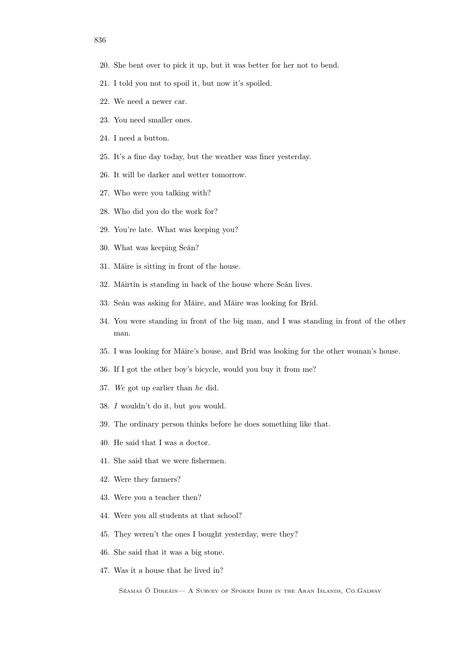- 20. She bent over to pick it up, but it was better for her not to bend.
- 21. I told you not to spoil it, but now it's spoiled.
- 22. We need a newer car.
- 23. You need smaller ones.
- 24. I need a button.
- 25. It's a fine day today, but the weather was finer yesterday.
- 26. It will be darker and wetter tomorrow.
- 27. Who were you talking with?
- 28. Who did you do the work for?
- 29. You're late. What was keeping you?
- 30. What was keeping Seán?
- 31. Máire is sitting in front of the house.
- 32. Máirtín is standing in back of the house where Seán lives.
- 33. Seán was asking for Máire, and Máire was looking for Bríd.
- 34. You were standing in front of the big man, and I was standing in front of the other man.
- 35. I was looking for Máire's house, and Bríd was looking for the other woman's house.
- 36. If I got the other boy's bicycle, would you buy it from me?
- 37. We got up earlier than he did.
- 38. I wouldn't do it, but you would.
- 39. The ordinary person thinks before he does something like that.
- 40. He said that I was a doctor.
- 41. She said that we were fishermen.
- 42. Were they farmers?
- 43. Were you a teacher then?
- 44. Were you all students at that school?
- 45. They weren't the ones I bought yesterday, were they?
- 46. She said that it was a big stone.
- 47. Was it a house that he lived in?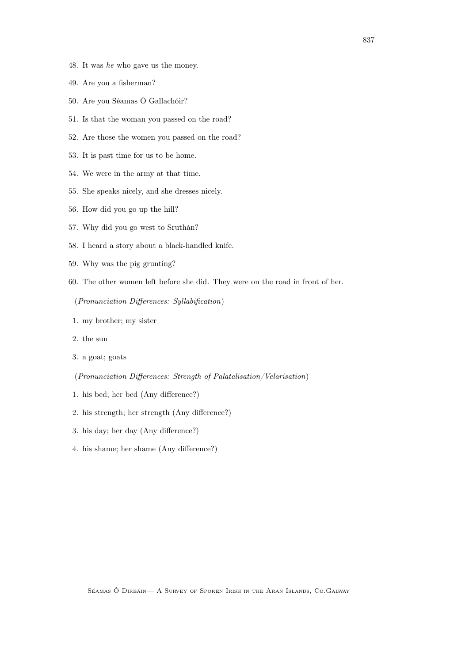- 48. It was he who gave us the money.
- 49. Are you a fisherman?
- 50. Are you Séamas Ó Gallachóir?
- 51. Is that the woman you passed on the road?
- 52. Are those the women you passed on the road?
- 53. It is past time for us to be home.
- 54. We were in the army at that time.
- 55. She speaks nicely, and she dresses nicely.
- 56. How did you go up the hill?
- 57. Why did you go west to Sruthán?
- 58. I heard a story about a black-handled knife.
- 59. Why was the pig grunting?
- 60. The other women left before she did. They were on the road in front of her.

(Pronunciation Differences: Syllabification)

- 1. my brother; my sister
- 2. the sun
- 3. a goat; goats
- (Pronunciation Differences: Strength of Palatalisation/Velarisation)
- 1. his bed; her bed (Any difference?)
- 2. his strength; her strength (Any difference?)
- 3. his day; her day (Any difference?)
- 4. his shame; her shame (Any difference?)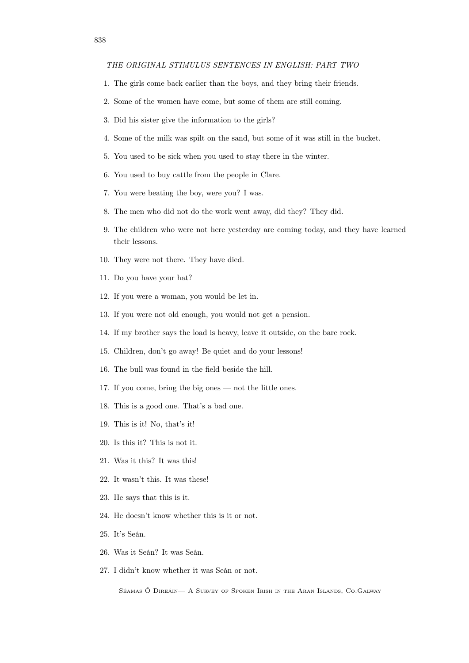#### THE ORIGINAL STIMULUS SENTENCES IN ENGLISH: PART TWO

- 1. The girls come back earlier than the boys, and they bring their friends.
- 2. Some of the women have come, but some of them are still coming.
- 3. Did his sister give the information to the girls?
- 4. Some of the milk was spilt on the sand, but some of it was still in the bucket.
- 5. You used to be sick when you used to stay there in the winter.
- 6. You used to buy cattle from the people in Clare.
- 7. You were beating the boy, were you? I was.
- 8. The men who did not do the work went away, did they? They did.
- 9. The children who were not here yesterday are coming today, and they have learned their lessons.
- 10. They were not there. They have died.
- 11. Do you have your hat?
- 12. If you were a woman, you would be let in.
- 13. If you were not old enough, you would not get a pension.
- 14. If my brother says the load is heavy, leave it outside, on the bare rock.
- 15. Children, don't go away! Be quiet and do your lessons!
- 16. The bull was found in the field beside the hill.
- 17. If you come, bring the big ones not the little ones.
- 18. This is a good one. That's a bad one.
- 19. This is it! No, that's it!
- 20. Is this it? This is not it.
- 21. Was it this? It was this!
- 22. It wasn't this. It was these!
- 23. He says that this is it.
- 24. He doesn't know whether this is it or not.
- 25. It's Seán.
- 26. Was it Seán? It was Seán.
- 27. I didn't know whether it was Seán or not.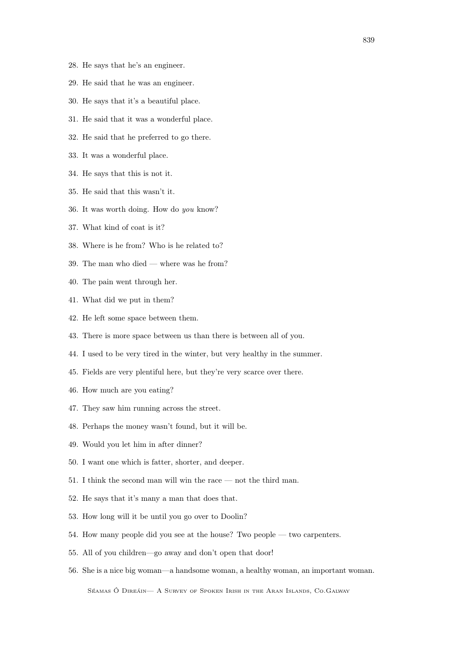- 28. He says that he's an engineer.
- 29. He said that he was an engineer.
- 30. He says that it's a beautiful place.
- 31. He said that it was a wonderful place.
- 32. He said that he preferred to go there.
- 33. It was a wonderful place.
- 34. He says that this is not it.
- 35. He said that this wasn't it.
- 36. It was worth doing. How do you know?
- 37. What kind of coat is it?
- 38. Where is he from? Who is he related to?
- 39. The man who died where was he from?
- 40. The pain went through her.
- 41. What did we put in them?
- 42. He left some space between them.
- 43. There is more space between us than there is between all of you.
- 44. I used to be very tired in the winter, but very healthy in the summer.
- 45. Fields are very plentiful here, but they're very scarce over there.
- 46. How much are you eating?
- 47. They saw him running across the street.
- 48. Perhaps the money wasn't found, but it will be.
- 49. Would you let him in after dinner?
- 50. I want one which is fatter, shorter, and deeper.
- 51. I think the second man will win the race not the third man.
- 52. He says that it's many a man that does that.
- 53. How long will it be until you go over to Doolin?
- 54. How many people did you see at the house? Two people two carpenters.
- 55. All of you children—go away and don't open that door!
- 56. She is a nice big woman—a handsome woman, a healthy woman, an important woman.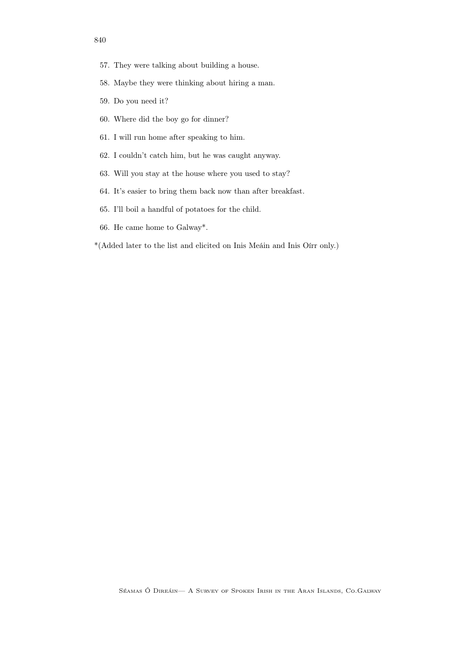- 57. They were talking about building a house.
- 58. Maybe they were thinking about hiring a man.
- 59. Do you need it?
- 60. Where did the boy go for dinner?
- 61. I will run home after speaking to him.
- 62. I couldn't catch him, but he was caught anyway.
- 63. Will you stay at the house where you used to stay?
- 64. It's easier to bring them back now than after breakfast.
- 65. I'll boil a handful of potatoes for the child.
- 66. He came home to Galway\*.
- \*(Added later to the list and elicited on Inis Meáin and Inis Oírr only.)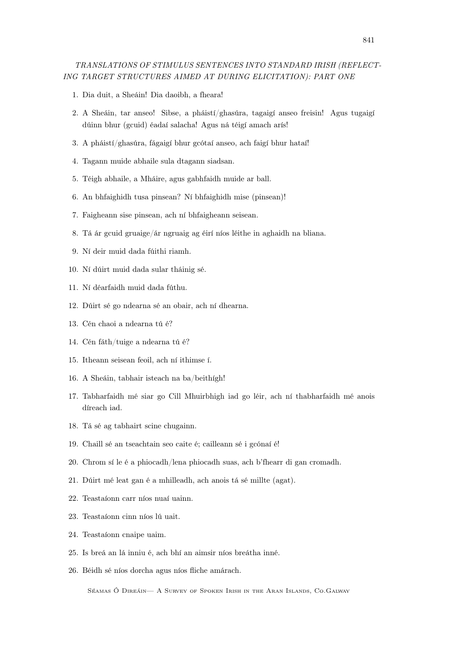## TRANSLATIONS OF STIMULUS SENTENCES INTO STANDARD IRISH (REFLECT-ING TARGET STRUCTURES AIMED AT DURING ELICITATION): PART ONE

- 1. Dia duit, a Sheáin! Dia daoibh, a fheara!
- 2. A Sheáin, tar anseo! Sibse, a pháistí/ghasúra, tagaigí anseo freisin! Agus tugaigí dúinn bhur (gcuid) éadaí salacha! Agus ná téigí amach arís!
- 3. A pháistí/ghasúra, fágaigí bhur gcótaí anseo, ach faigí bhur hataí!
- 4. Tagann muide abhaile sula dtagann siadsan.
- 5. Téigh abhaile, a Mháire, agus gabhfaidh muide ar ball.
- 6. An bhfaighidh tusa pinsean? Ní bhfaighidh mise (pinsean)!
- 7. Faigheann sise pinsean, ach ní bhfaigheann seisean.
- 8. Tá ár gcuid gruaige/ár ngruaig ag éirí níos léithe in aghaidh na bliana.
- 9. Ní deir muid dada fúithi riamh.
- 10. Ní dúirt muid dada sular tháinig sé.
- 11. Ní déarfaidh muid dada fúthu.
- 12. Dúirt sé go ndearna sé an obair, ach ní dhearna.
- 13. Cén chaoi a ndearna tú é?
- 14. Cén fáth/tuige a ndearna tú é?
- 15. Itheann seisean feoil, ach ní ithimse í.
- 16. A Sheáin, tabhair isteach na ba/beithígh!
- 17. Tabharfaidh mé siar go Cill Mhuirbhigh iad go léir, ach ní thabharfaidh mé anois díreach iad.
- 18. Tá sé ag tabhairt scine chugainn.
- 19. Chaill sé an tseachtain seo caite é; cailleann sé i gcónaí é!
- 20. Chrom sí le é a phiocadh/lena phiocadh suas, ach b'fhearr di gan cromadh.
- 21. Dúirt mé leat gan é a mhilleadh, ach anois tá sé millte (agat).
- 22. Teastaíonn carr níos nuaí uainn.
- 23. Teastaíonn cinn níos lú uait.
- 24. Teastaíonn cnaipe uaim.
- 25. Is breá an lá inniu é, ach bhí an aimsir níos breátha inné.
- 26. Béidh sé níos dorcha agus níos fliche amárach.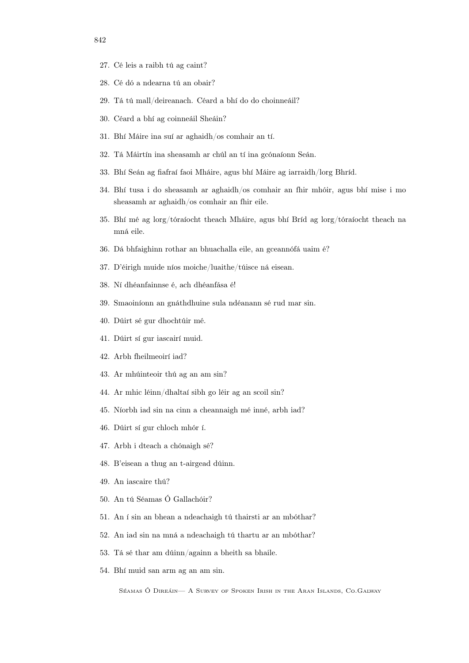- 27. Cé leis a raibh tú ag caint?
- 28. Cé dó a ndearna tú an obair?
- 29. Tá tú mall/deireanach. Céard a bhí do do choinneáil?
- 30. Céard a bhí ag coinneáil Sheáin?
- 31. Bhí Máire ina suí ar aghaidh/os comhair an tí.
- 32. Tá Máirtín ina sheasamh ar chúl an tí ina gcónaíonn Seán.
- 33. Bhí Seán ag fiafraí faoi Mháire, agus bhí Máire ag iarraidh/lorg Bhríd.
- 34. Bhí tusa i do sheasamh ar aghaidh/os comhair an fhir mhóir, agus bhí mise i mo sheasamh ar aghaidh/os comhair an fhir eile.
- 35. Bhí mé ag lorg/tóraíocht theach Mháire, agus bhí Bríd ag lorg/tóraíocht theach na mná eile.
- 36. Dá bhfaighinn rothar an bhuachalla eile, an gceannófá uaim é?
- 37. D'éirigh muide níos moiche/luaithe/túisce ná eisean.
- 38. Ní dhéanfainnse é, ach dhéanfása é!
- 39. Smaoiníonn an gnáthdhuine sula ndéanann sé rud mar sin.
- 40. Dúirt sé gur dhochtúir mé.
- 41. Dúirt sí gur iascairí muid.
- 42. Arbh fheilmeoirí iad?
- 43. Ar mhúinteoir thú ag an am sin?
- 44. Ar mhic léinn/dhaltaí sibh go léir ag an scoil sin?
- 45. Níorbh iad sin na cinn a cheannaigh mé inné, arbh iad?
- 46. Dúirt sí gur chloch mhór í.
- 47. Arbh i dteach a chónaigh sé?
- 48. B'eisean a thug an t-airgead dúinn.
- 49. An iascaire thú?
- 50. An tú Séamas Ó Gallachóir?
- 51. An í sin an bhean a ndeachaigh tú thairsti ar an mbóthar?
- 52. An iad sin na mná a ndeachaigh tú thartu ar an mbóthar?
- 53. Tá sé thar am dúinn/againn a bheith sa bhaile.
- 54. Bhí muid san arm ag an am sin.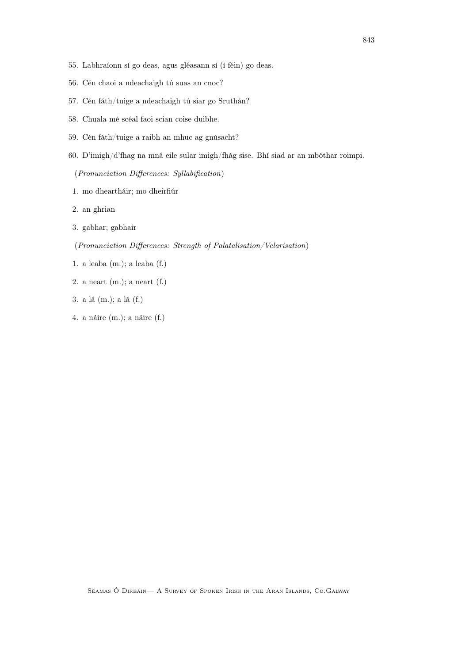- 55. Labhraíonn sí go deas, agus gléasann sí (í féin) go deas.
- 56. Cén chaoi a ndeachaigh tú suas an cnoc?
- 57. Cén fáth/tuige a ndeachaigh tú siar go Sruthán?
- 58. Chuala mé scéal faoi scian coise duibhe.
- 59. Cén fáth/tuige a raibh an mhuc ag gnúsacht?
- 60. D'imigh/d'fhag na mná eile sular imigh/fhág sise. Bhí siad ar an mbóthar roimpi.

(Pronunciation Differences: Syllabification)

- 1. mo dheartháir; mo dheirfiúr
- 2. an ghrian
- 3. gabhar; gabhair
- (Pronunciation Differences: Strength of Palatalisation/Velarisation)
- 1. a leaba (m.); a leaba (f.)
- 2. a neart (m.); a neart (f.)
- 3. a lá (m.); a lá (f.)
- 4. a náire (m.); a náire (f.)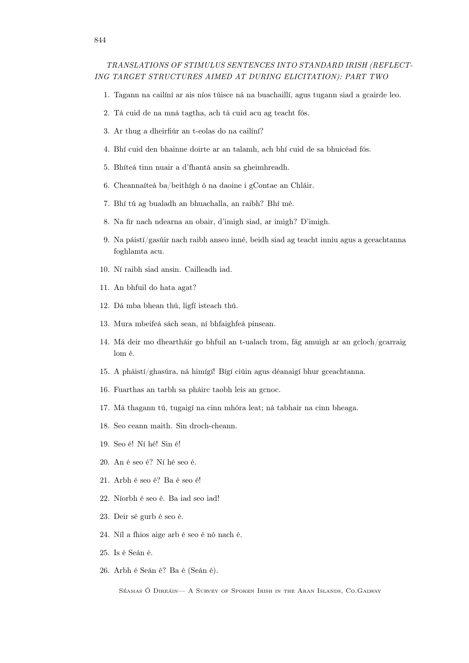### TRANSLATIONS OF STIMULUS SENTENCES INTO STANDARD IRISH (REFLECT-ING TARGET STRUCTURES AIMED AT DURING ELICITATION): PART TWO

- 1. Tagann na cailíní ar ais níos túisce ná na buachaillí, agus tugann siad a gcairde leo.
- 2. Tá cuid de na mná tagtha, ach tá cuid acu ag teacht fós.
- 3. Ar thug a dheirfiúr an t-eolas do na cailíní?
- 4. Bhí cuid den bhainne doirte ar an talamh, ach bhí cuid de sa bhuicéad fós.
- 5. Bhíteá tinn nuair a d'fhantá ansin sa gheimhreadh.
- 6. Cheannaíteá ba/beithígh ó na daoine i gContae an Chláir.
- 7. Bhí tú ag bualadh an bhuachalla, an raibh? Bhí mé.
- 8. Na fir nach ndearna an obair, d'imigh siad, ar imigh? D'imigh.
- 9. Na páistí/gasúir nach raibh anseo inné, beidh siad ag teacht inniu agus a gceachtanna foghlamta acu.
- 10. Ní raibh siad ansin. Cailleadh iad.
- 11. An bhfuil do hata agat?
- 12. Dá mba bhean thú, ligfí isteach thú.
- 13. Mura mbeifeá sách sean, ní bhfaighfeá pinsean.
- 14. Má deir mo dheartháir go bhfuil an t-ualach trom, fág amuigh ar an gcloch/gcarraig lom é.
- 15. A pháistí/ghasúra, ná himígí! Bígí ciúin agus déanaigí bhur gceachtanna.
- 16. Fuarthas an tarbh sa pháirc taobh leis an gcnoc.
- 17. Má thagann tú, tugaigí na cinn mhóra leat; ná tabhair na cinn bheaga.
- 18. Seo ceann maith. Sin droch-cheann.
- 19. Seo é! Ní hé! Sin é!
- 20. An é seo é? Ní hé seo é.
- 21. Arbh é seo é? Ba é seo é!
- 22. Níorbh é seo é. Ba iad seo iad!
- 23. Deir sé gurb é seo é.
- 24. Níl a fhios aige arb é seo é nó nach é.
- 25. Is é Seán é.
- 26. Arbh é Seán é? Ba é (Seán é).

Séamas Ó Direáin— A Survey of Spoken Irish in the Aran Islands, Co.Galway

#### 844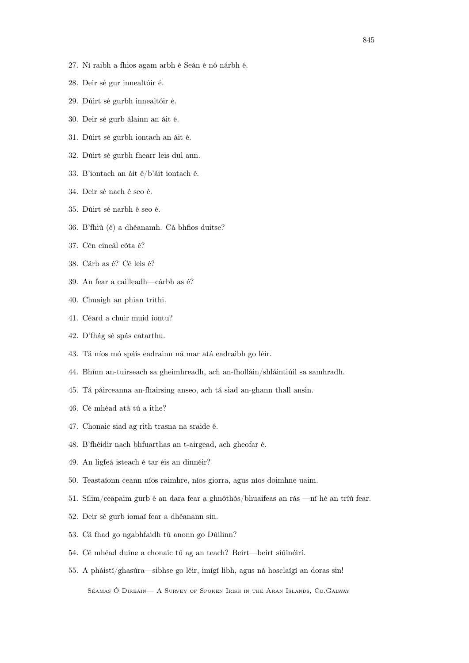- 27. Ní raibh a fhios agam arbh é Seán é nó nárbh é.
- 28. Deir sé gur innealtóir é.
- 29. Dúirt sé gurbh innealtóir é.
- 30. Deir sé gurb álainn an áit é.
- 31. Dúirt sé gurbh iontach an áit é.
- 32. Dúirt sé gurbh fhearr leis dul ann.
- 33. B'iontach an áit é/b'áit iontach é.
- 34. Deir sé nach é seo é.
- 35. Dúirt sé narbh é seo é.
- 36. B'fhiú (é) a dhéanamh. Cá bhfios duitse?
- 37. Cén cineál cóta é?
- 38. Cárb as é? Cé leis é?
- 39. An fear a cailleadh—cárbh as é?
- 40. Chuaigh an phian tríthi.
- 41. Céard a chuir muid iontu?
- 42. D'fhág sé spás eatarthu.
- 43. Tá níos mó spáis eadrainn ná mar atá eadraibh go léir.
- 44. Bhínn an-tuirseach sa gheimhreadh, ach an-fholláin/shláintiúil sa samhradh.
- 45. Tá páirceanna an-fhairsing anseo, ach tá siad an-ghann thall ansin.
- 46. Cé mhéad atá tú a ithe?
- 47. Chonaic siad ag rith trasna na sraide é.
- 48. B'fhéidir nach bhfuarthas an t-airgead, ach gheofar é.
- 49. An ligfeá isteach é tar éis an dinnéir?
- 50. Teastaíonn ceann níos raimhre, níos giorra, agus níos doimhne uaim.
- 51. Sílim/ceapaim gurb é an dara fear a ghnóthós/bhuaifeas an rás —ní hé an tríú fear.
- 52. Deir sé gurb iomaí fear a dhéanann sin.
- 53. Cá fhad go ngabhfaidh tú anonn go Dúilinn?
- 54. Cé mhéad duine a chonaic tú ag an teach? Beirt—beirt siúinéirí.
- 55. A pháistí/ghasúra—sibhse go léir, imígí libh, agus ná hosclaígí an doras sin!